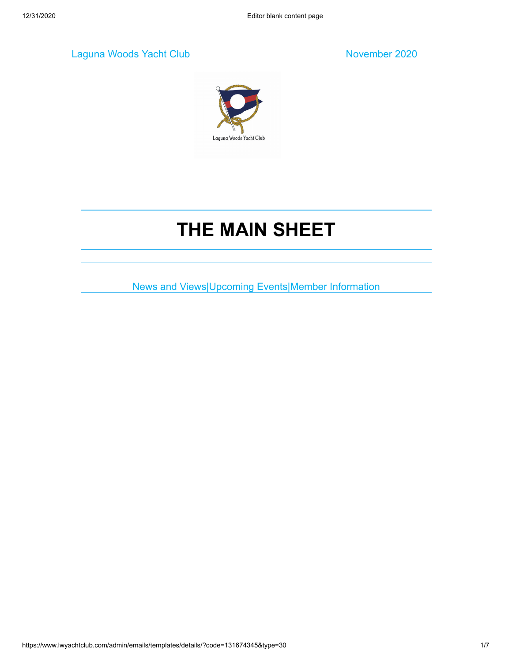Laguna Woods Yacht Club November 2020



# **THE MAIN SHEET**

News and Views|Upcoming Events|Member Information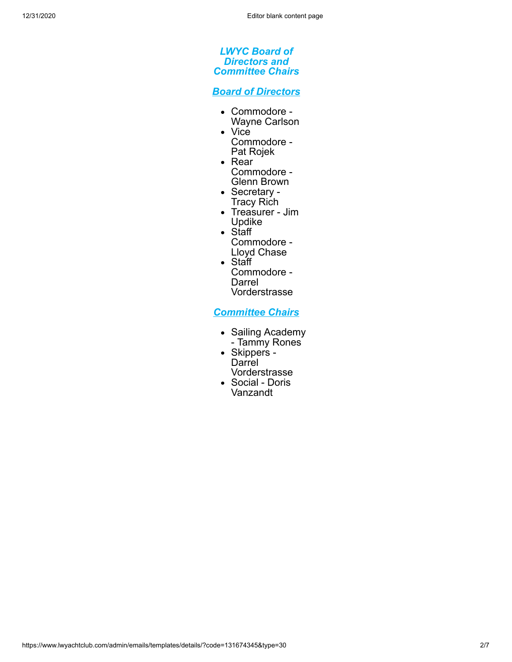#### *LWYC Board of Directors and Committee Chairs*

*Board of Directors*

- Commodore Wayne Carlson
- Vice
	- Commodore Pat Rojek
- Rear Commodore - Glenn Brown
- Secretary -Tracy Rich
- Treasurer Jim Updike
- Staff
- Commodore Lloyd Chase
- Staff Commodore - Darrel Vorderstrasse

*Committee Chairs*

- Sailing Academy - Tammy Rones
- Skippers **Darrel** Vorderstrasse
- Social Doris Vanzandt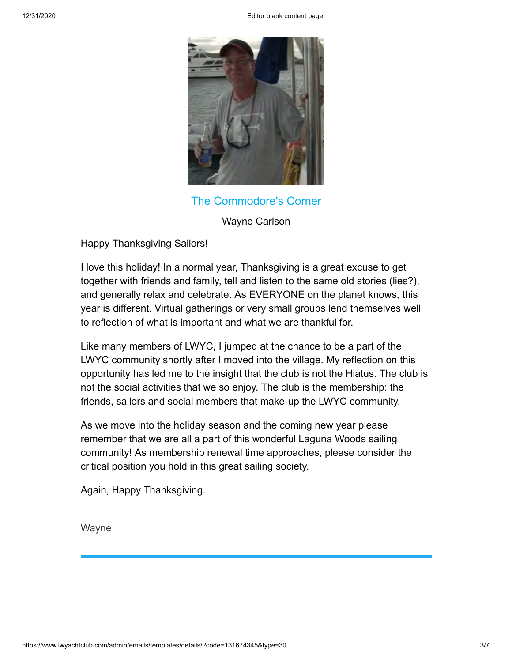12/31/2020 Editor blank content page



The Commodore's Corner

Wayne Carlson

Happy Thanksgiving Sailors!

I love this holiday! In a normal year, Thanksgiving is a great excuse to get together with friends and family, tell and listen to the same old stories (lies?), and generally relax and celebrate. As EVERYONE on the planet knows, this year is different. Virtual gatherings or very small groups lend themselves well to reflection of what is important and what we are thankful for.

Like many members of LWYC, I jumped at the chance to be a part of the LWYC community shortly after I moved into the village. My reflection on this opportunity has led me to the insight that the club is not the Hiatus. The club is not the social activities that we so enjoy. The club is the membership: the friends, sailors and social members that make-up the LWYC community.

As we move into the holiday season and the coming new year please remember that we are all a part of this wonderful Laguna Woods sailing community! As membership renewal time approaches, please consider the critical position you hold in this great sailing society.

Again, Happy Thanksgiving.

Wayne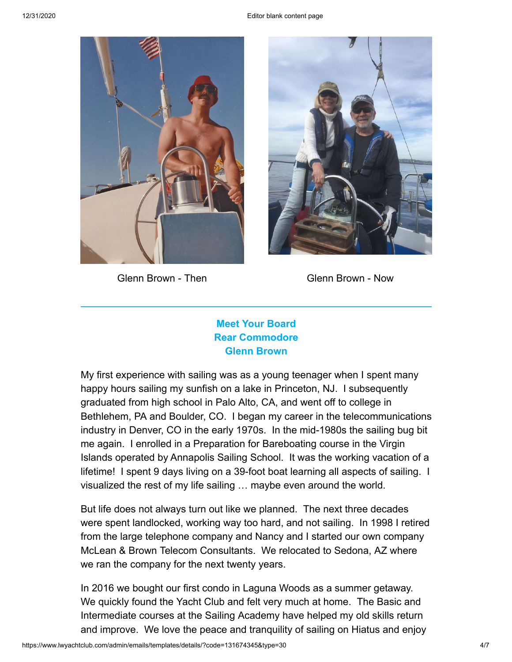

Glenn Brown - Then Glenn Brown - Now



# **Meet Your Board Rear Commodore Glenn Brown**

My first experience with sailing was as a young teenager when I spent many happy hours sailing my sunfish on a lake in Princeton, NJ. I subsequently graduated from high school in Palo Alto, CA, and went off to college in Bethlehem, PA and Boulder, CO. I began my career in the telecommunications industry in Denver, CO in the early 1970s. In the mid-1980s the sailing bug bit me again. I enrolled in a Preparation for Bareboating course in the Virgin Islands operated by Annapolis Sailing School. It was the working vacation of a lifetime! I spent 9 days living on a 39-foot boat learning all aspects of sailing. I visualized the rest of my life sailing … maybe even around the world.

But life does not always turn out like we planned. The next three decades were spent landlocked, working way too hard, and not sailing. In 1998 I retired from the large telephone company and Nancy and I started our own company McLean & Brown Telecom Consultants. We relocated to Sedona, AZ where we ran the company for the next twenty years.

In 2016 we bought our first condo in Laguna Woods as a summer getaway. We quickly found the Yacht Club and felt very much at home. The Basic and Intermediate courses at the Sailing Academy have helped my old skills return and improve. We love the peace and tranquility of sailing on Hiatus and enjoy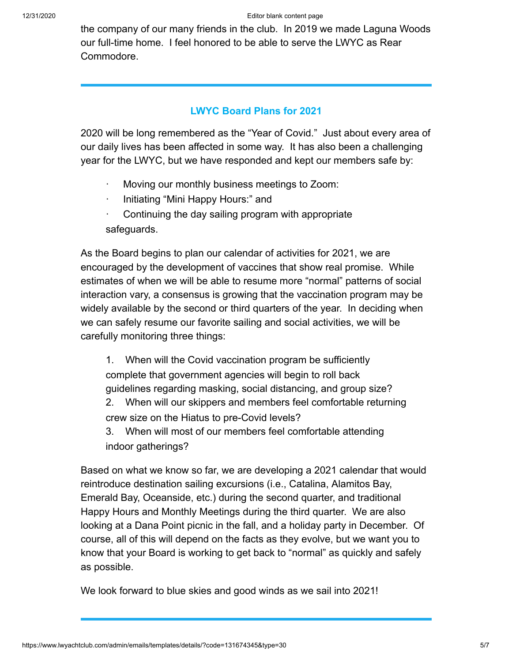the company of our many friends in the club. In 2019 we made Laguna Woods our full-time home. I feel honored to be able to serve the LWYC as Rear Commodore.

### **LWYC Board Plans for 2021**

2020 will be long remembered as the "Year of Covid." Just about every area of our daily lives has been affected in some way. It has also been a challenging year for the LWYC, but we have responded and kept our members safe by:

- Moving our monthly business meetings to Zoom:
- Initiating "Mini Happy Hours:" and
- Continuing the day sailing program with appropriate safeguards.

As the Board begins to plan our calendar of activities for 2021, we are encouraged by the development of vaccines that show real promise. While estimates of when we will be able to resume more "normal" patterns of social interaction vary, a consensus is growing that the vaccination program may be widely available by the second or third quarters of the year. In deciding when we can safely resume our favorite sailing and social activities, we will be carefully monitoring three things:

1. When will the Covid vaccination program be sufficiently complete that government agencies will begin to roll back guidelines regarding masking, social distancing, and group size?

2. When will our skippers and members feel comfortable returning crew size on the Hiatus to pre-Covid levels?

3. When will most of our members feel comfortable attending indoor gatherings?

Based on what we know so far, we are developing a 2021 calendar that would reintroduce destination sailing excursions (i.e., Catalina, Alamitos Bay, Emerald Bay, Oceanside, etc.) during the second quarter, and traditional Happy Hours and Monthly Meetings during the third quarter. We are also looking at a Dana Point picnic in the fall, and a holiday party in December. Of course, all of this will depend on the facts as they evolve, but we want you to know that your Board is working to get back to "normal" as quickly and safely as possible.

We look forward to blue skies and good winds as we sail into 2021!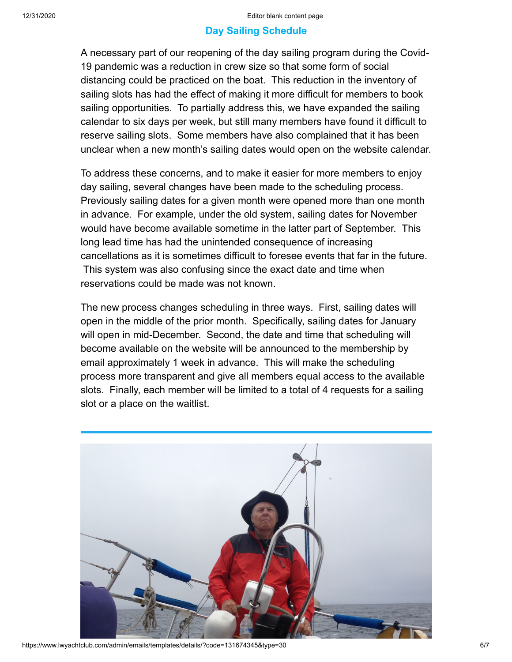### **Day Sailing Schedule**

A necessary part of our reopening of the day sailing program during the Covid-19 pandemic was a reduction in crew size so that some form of social distancing could be practiced on the boat. This reduction in the inventory of sailing slots has had the effect of making it more difficult for members to book sailing opportunities. To partially address this, we have expanded the sailing calendar to six days per week, but still many members have found it difficult to reserve sailing slots. Some members have also complained that it has been unclear when a new month's sailing dates would open on the website calendar.

To address these concerns, and to make it easier for more members to enjoy day sailing, several changes have been made to the scheduling process. Previously sailing dates for a given month were opened more than one month in advance. For example, under the old system, sailing dates for November would have become available sometime in the latter part of September. This long lead time has had the unintended consequence of increasing cancellations as it is sometimes difficult to foresee events that far in the future. This system was also confusing since the exact date and time when reservations could be made was not known.

The new process changes scheduling in three ways. First, sailing dates will open in the middle of the prior month. Specifically, sailing dates for January will open in mid-December. Second, the date and time that scheduling will become available on the website will be announced to the membership by email approximately 1 week in advance. This will make the scheduling process more transparent and give all members equal access to the available slots. Finally, each member will be limited to a total of 4 requests for a sailing slot or a place on the waitlist.



https://www.lwyachtclub.com/admin/emails/templates/details/?code=131674345&type=30 6/7